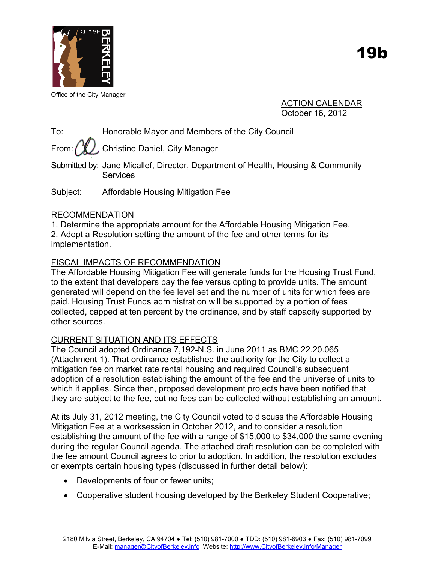

Office of the City Manager

ACTION CALENDAR October 16, 2012

To: Honorable Mayor and Members of the City Council

From:  $\binom{n}{k}$ , Christine Daniel, City Manager

Submitted by: Jane Micallef, Director, Department of Health, Housing & Community **Services** 

Subject: Affordable Housing Mitigation Fee

# RECOMMENDATION

1. Determine the appropriate amount for the Affordable Housing Mitigation Fee. 2. Adopt a Resolution setting the amount of the fee and other terms for its implementation.

# FISCAL IMPACTS OF RECOMMENDATION

The Affordable Housing Mitigation Fee will generate funds for the Housing Trust Fund, to the extent that developers pay the fee versus opting to provide units. The amount generated will depend on the fee level set and the number of units for which fees are paid. Housing Trust Funds administration will be supported by a portion of fees collected, capped at ten percent by the ordinance, and by staff capacity supported by other sources.

# CURRENT SITUATION AND ITS EFFECTS

The Council adopted Ordinance 7,192-N.S. in June 2011 as BMC 22.20.065 (Attachment 1). That ordinance established the authority for the City to collect a mitigation fee on market rate rental housing and required Council's subsequent adoption of a resolution establishing the amount of the fee and the universe of units to which it applies. Since then, proposed development projects have been notified that they are subject to the fee, but no fees can be collected without establishing an amount.

At its July 31, 2012 meeting, the City Council voted to discuss the Affordable Housing Mitigation Fee at a worksession in October 2012, and to consider a resolution establishing the amount of the fee with a range of \$15,000 to \$34,000 the same evening during the regular Council agenda. The attached draft resolution can be completed with the fee amount Council agrees to prior to adoption. In addition, the resolution excludes or exempts certain housing types (discussed in further detail below):

- Developments of four or fewer units;
- Cooperative student housing developed by the Berkeley Student Cooperative;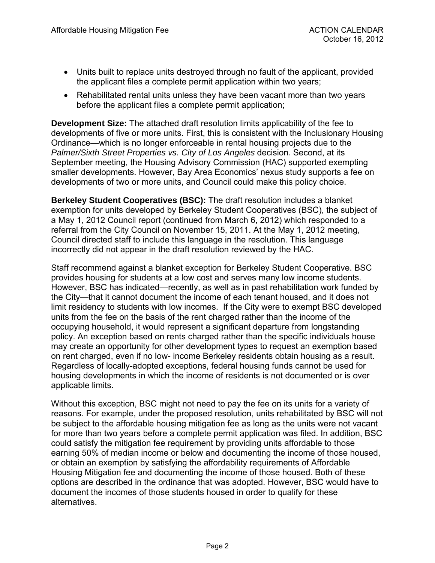- Units built to replace units destroyed through no fault of the applicant, provided the applicant files a complete permit application within two years;
- Rehabilitated rental units unless they have been vacant more than two years before the applicant files a complete permit application;

**Development Size:** The attached draft resolution limits applicability of the fee to developments of five or more units. First, this is consistent with the Inclusionary Housing Ordinance—which is no longer enforceable in rental housing projects due to the *Palmer/Sixth Street Properties vs. City of Los Angeles* decision*.* Second, at its September meeting, the Housing Advisory Commission (HAC) supported exempting smaller developments. However, Bay Area Economics' nexus study supports a fee on developments of two or more units, and Council could make this policy choice.

**Berkeley Student Cooperatives (BSC):** The draft resolution includes a blanket exemption for units developed by Berkeley Student Cooperatives (BSC), the subject of a May 1, 2012 Council report (continued from March 6, 2012) which responded to a referral from the City Council on November 15, 2011. At the May 1, 2012 meeting, Council directed staff to include this language in the resolution. This language incorrectly did not appear in the draft resolution reviewed by the HAC.

Staff recommend against a blanket exception for Berkeley Student Cooperative. BSC provides housing for students at a low cost and serves many low income students. However, BSC has indicated—recently, as well as in past rehabilitation work funded by the City—that it cannot document the income of each tenant housed, and it does not limit residency to students with low incomes. If the City were to exempt BSC developed units from the fee on the basis of the rent charged rather than the income of the occupying household, it would represent a significant departure from longstanding policy. An exception based on rents charged rather than the specific individuals house may create an opportunity for other development types to request an exemption based on rent charged, even if no low- income Berkeley residents obtain housing as a result. Regardless of locally-adopted exceptions, federal housing funds cannot be used for housing developments in which the income of residents is not documented or is over applicable limits.

Without this exception, BSC might not need to pay the fee on its units for a variety of reasons. For example, under the proposed resolution, units rehabilitated by BSC will not be subject to the affordable housing mitigation fee as long as the units were not vacant for more than two years before a complete permit application was filed. In addition, BSC could satisfy the mitigation fee requirement by providing units affordable to those earning 50% of median income or below and documenting the income of those housed, or obtain an exemption by satisfying the affordability requirements of Affordable Housing Mitigation fee and documenting the income of those housed. Both of these options are described in the ordinance that was adopted. However, BSC would have to document the incomes of those students housed in order to qualify for these alternatives.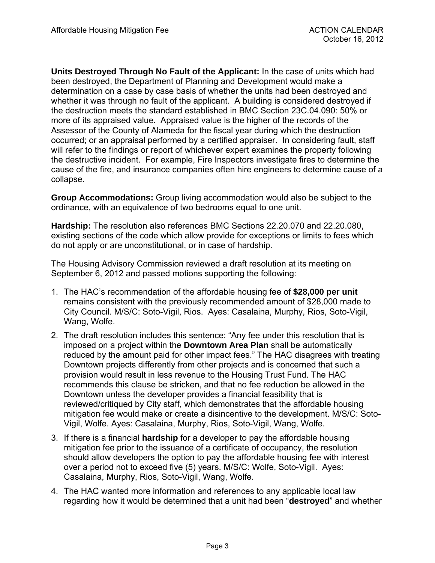**Units Destroyed Through No Fault of the Applicant:** In the case of units which had been destroyed, the Department of Planning and Development would make a determination on a case by case basis of whether the units had been destroyed and whether it was through no fault of the applicant. A building is considered destroyed if the destruction meets the standard established in BMC Section 23C.04.090: 50% or more of its appraised value. Appraised value is the higher of the records of the Assessor of the County of Alameda for the fiscal year during which the destruction occurred; or an appraisal performed by a certified appraiser. In considering fault, staff will refer to the findings or report of whichever expert examines the property following the destructive incident. For example, Fire Inspectors investigate fires to determine the cause of the fire, and insurance companies often hire engineers to determine cause of a collapse.

**Group Accommodations:** Group living accommodation would also be subject to the ordinance, with an equivalence of two bedrooms equal to one unit.

**Hardship:** The resolution also references BMC Sections 22.20.070 and 22.20.080, existing sections of the code which allow provide for exceptions or limits to fees which do not apply or are unconstitutional, or in case of hardship.

The Housing Advisory Commission reviewed a draft resolution at its meeting on September 6, 2012 and passed motions supporting the following:

- 1. The HAC's recommendation of the affordable housing fee of **\$28,000 per unit** remains consistent with the previously recommended amount of \$28,000 made to City Council. M/S/C: Soto-Vigil, Rios. Ayes: Casalaina, Murphy, Rios, Soto-Vigil, Wang, Wolfe.
- 2. The draft resolution includes this sentence: "Any fee under this resolution that is imposed on a project within the **Downtown Area Plan** shall be automatically reduced by the amount paid for other impact fees." The HAC disagrees with treating Downtown projects differently from other projects and is concerned that such a provision would result in less revenue to the Housing Trust Fund. The HAC recommends this clause be stricken, and that no fee reduction be allowed in the Downtown unless the developer provides a financial feasibility that is reviewed/critiqued by City staff, which demonstrates that the affordable housing mitigation fee would make or create a disincentive to the development. M/S/C: Soto-Vigil, Wolfe. Ayes: Casalaina, Murphy, Rios, Soto-Vigil, Wang, Wolfe.
- 3. If there is a financial **hardship** for a developer to pay the affordable housing mitigation fee prior to the issuance of a certificate of occupancy, the resolution should allow developers the option to pay the affordable housing fee with interest over a period not to exceed five (5) years. M/S/C: Wolfe, Soto-Vigil. Ayes: Casalaina, Murphy, Rios, Soto-Vigil, Wang, Wolfe.
- 4. The HAC wanted more information and references to any applicable local law regarding how it would be determined that a unit had been "**destroyed**" and whether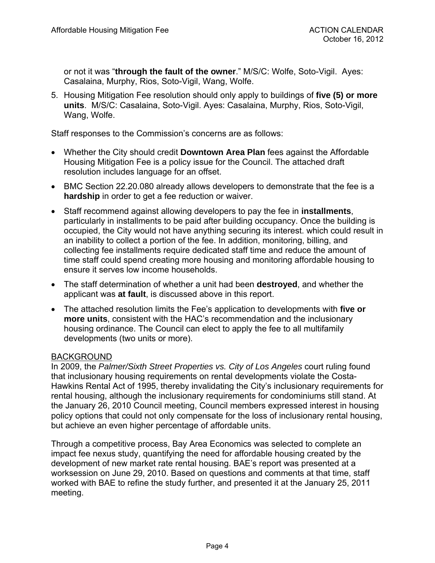or not it was "**through the fault of the owner**." M/S/C: Wolfe, Soto-Vigil. Ayes: Casalaina, Murphy, Rios, Soto-Vigil, Wang, Wolfe.

5. Housing Mitigation Fee resolution should only apply to buildings of **five (5) or more units**. M/S/C: Casalaina, Soto-Vigil. Ayes: Casalaina, Murphy, Rios, Soto-Vigil, Wang, Wolfe.

Staff responses to the Commission's concerns are as follows:

- Whether the City should credit **Downtown Area Plan** fees against the Affordable Housing Mitigation Fee is a policy issue for the Council. The attached draft resolution includes language for an offset.
- BMC Section 22.20.080 already allows developers to demonstrate that the fee is a **hardship** in order to get a fee reduction or waiver.
- Staff recommend against allowing developers to pay the fee in **installments**, particularly in installments to be paid after building occupancy. Once the building is occupied, the City would not have anything securing its interest. which could result in an inability to collect a portion of the fee. In addition, monitoring, billing, and collecting fee installments require dedicated staff time and reduce the amount of time staff could spend creating more housing and monitoring affordable housing to ensure it serves low income households.
- The staff determination of whether a unit had been **destroyed**, and whether the applicant was **at fault**, is discussed above in this report.
- The attached resolution limits the Fee's application to developments with **five or more units**, consistent with the HAC's recommendation and the inclusionary housing ordinance. The Council can elect to apply the fee to all multifamily developments (two units or more).

### BACKGROUND

In 2009, the *Palmer/Sixth Street Properties vs. City of Los Angeles* court ruling found that inclusionary housing requirements on rental developments violate the Costa-Hawkins Rental Act of 1995, thereby invalidating the City's inclusionary requirements for rental housing, although the inclusionary requirements for condominiums still stand. At the January 26, 2010 Council meeting, Council members expressed interest in housing policy options that could not only compensate for the loss of inclusionary rental housing, but achieve an even higher percentage of affordable units.

Through a competitive process, Bay Area Economics was selected to complete an impact fee nexus study, quantifying the need for affordable housing created by the development of new market rate rental housing. BAE's report was presented at a worksession on June 29, 2010. Based on questions and comments at that time, staff worked with BAE to refine the study further, and presented it at the January 25, 2011 meeting.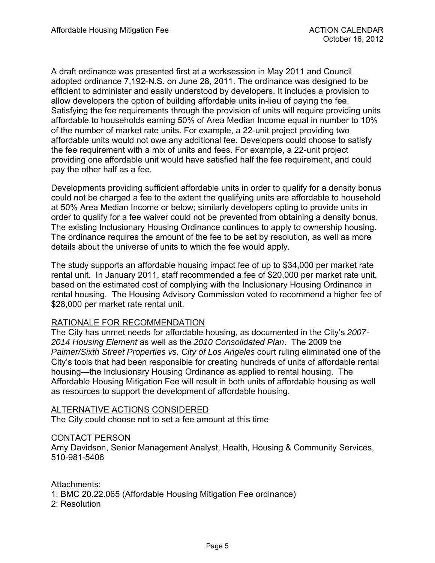A draft ordinance was presented first at a worksession in May 2011 and Council adopted ordinance 7,192-N.S. on June 28, 2011. The ordinance was designed to be efficient to administer and easily understood by developers. It includes a provision to allow developers the option of building affordable units in-lieu of paying the fee. Satisfying the fee requirements through the provision of units will require providing units affordable to households earning 50% of Area Median Income equal in number to 10% of the number of market rate units. For example, a 22-unit project providing two affordable units would not owe any additional fee. Developers could choose to satisfy the fee requirement with a mix of units and fees. For example, a 22-unit project providing one affordable unit would have satisfied half the fee requirement, and could pay the other half as a fee.

Developments providing sufficient affordable units in order to qualify for a density bonus could not be charged a fee to the extent the qualifying units are affordable to household at 50% Area Median Income or below; similarly developers opting to provide units in order to qualify for a fee waiver could not be prevented from obtaining a density bonus. The existing Inclusionary Housing Ordinance continues to apply to ownership housing. The ordinance requires the amount of the fee to be set by resolution, as well as more details about the universe of units to which the fee would apply.

The study supports an affordable housing impact fee of up to \$34,000 per market rate rental unit. In January 2011, staff recommended a fee of \$20,000 per market rate unit, based on the estimated cost of complying with the Inclusionary Housing Ordinance in rental housing. The Housing Advisory Commission voted to recommend a higher fee of \$28,000 per market rate rental unit.

### RATIONALE FOR RECOMMENDATION

The City has unmet needs for affordable housing, as documented in the City's *2007- 2014 Housing Element* as well as the *2010 Consolidated Plan*. The 2009 the *Palmer/Sixth Street Properties vs. City of Los Angeles* court ruling eliminated one of the City's tools that had been responsible for creating hundreds of units of affordable rental housing—the Inclusionary Housing Ordinance as applied to rental housing. The Affordable Housing Mitigation Fee will result in both units of affordable housing as well as resources to support the development of affordable housing.

#### ALTERNATIVE ACTIONS CONSIDERED

The City could choose not to set a fee amount at this time

#### CONTACT PERSON

Amy Davidson, Senior Management Analyst, Health, Housing & Community Services, 510-981-5406

#### Attachments:

- 1: BMC 20.22.065 (Affordable Housing Mitigation Fee ordinance)
- 2: Resolution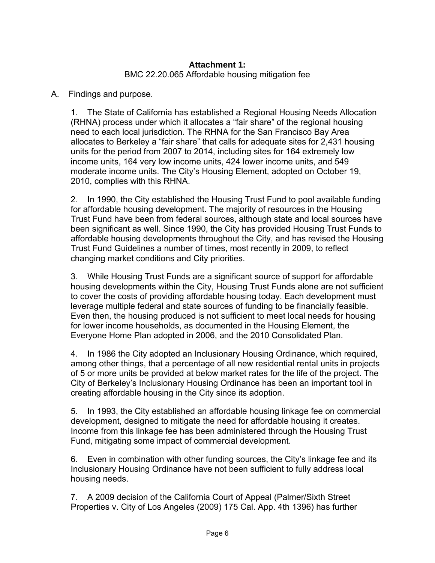# **Attachment 1:**  BMC 22.20.065 Affordable housing mitigation fee

### A. Findings and purpose.

1. The State of California has established a Regional Housing Needs Allocation (RHNA) process under which it allocates a "fair share" of the regional housing need to each local jurisdiction. The RHNA for the San Francisco Bay Area allocates to Berkeley a "fair share" that calls for adequate sites for 2,431 housing units for the period from 2007 to 2014, including sites for 164 extremely low income units, 164 very low income units, 424 lower income units, and 549 moderate income units. The City's Housing Element, adopted on October 19, 2010, complies with this RHNA.

2. In 1990, the City established the Housing Trust Fund to pool available funding for affordable housing development. The majority of resources in the Housing Trust Fund have been from federal sources, although state and local sources have been significant as well. Since 1990, the City has provided Housing Trust Funds to affordable housing developments throughout the City, and has revised the Housing Trust Fund Guidelines a number of times, most recently in 2009, to reflect changing market conditions and City priorities.

3. While Housing Trust Funds are a significant source of support for affordable housing developments within the City, Housing Trust Funds alone are not sufficient to cover the costs of providing affordable housing today. Each development must leverage multiple federal and state sources of funding to be financially feasible. Even then, the housing produced is not sufficient to meet local needs for housing for lower income households, as documented in the Housing Element, the Everyone Home Plan adopted in 2006, and the 2010 Consolidated Plan.

4. In 1986 the City adopted an Inclusionary Housing Ordinance, which required, among other things, that a percentage of all new residential rental units in projects of 5 or more units be provided at below market rates for the life of the project. The City of Berkeley's Inclusionary Housing Ordinance has been an important tool in creating affordable housing in the City since its adoption.

5. In 1993, the City established an affordable housing linkage fee on commercial development, designed to mitigate the need for affordable housing it creates. Income from this linkage fee has been administered through the Housing Trust Fund, mitigating some impact of commercial development.

6. Even in combination with other funding sources, the City's linkage fee and its Inclusionary Housing Ordinance have not been sufficient to fully address local housing needs.

7. A 2009 decision of the California Court of Appeal (Palmer/Sixth Street Properties v. City of Los Angeles (2009) 175 Cal. App. 4th 1396) has further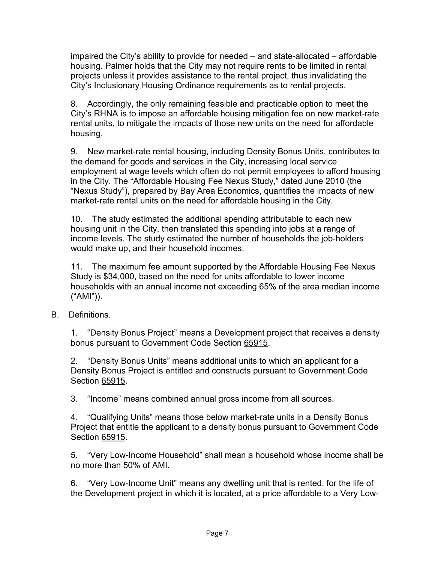impaired the City's ability to provide for needed – and state-allocated – affordable housing. Palmer holds that the City may not require rents to be limited in rental projects unless it provides assistance to the rental project, thus invalidating the City's Inclusionary Housing Ordinance requirements as to rental projects.

8. Accordingly, the only remaining feasible and practicable option to meet the City's RHNA is to impose an affordable housing mitigation fee on new market-rate rental units, to mitigate the impacts of those new units on the need for affordable housing.

9. New market-rate rental housing, including Density Bonus Units, contributes to the demand for goods and services in the City, increasing local service employment at wage levels which often do not permit employees to afford housing in the City. The "Affordable Housing Fee Nexus Study," dated June 2010 (the "Nexus Study"), prepared by Bay Area Economics, quantifies the impacts of new market-rate rental units on the need for affordable housing in the City.

10. The study estimated the additional spending attributable to each new housing unit in the City, then translated this spending into jobs at a range of income levels. The study estimated the number of households the job-holders would make up, and their household incomes.

11. The maximum fee amount supported by the Affordable Housing Fee Nexus Study is \$34,000, based on the need for units affordable to lower income households with an annual income not exceeding 65% of the area median income ("AMI")).

B. Definitions.

1. "Density Bonus Project" means a Development project that receives a density bonus pursuant to Government Code Section 65915.

2. "Density Bonus Units" means additional units to which an applicant for a Density Bonus Project is entitled and constructs pursuant to Government Code Section 65915.

3. "Income" means combined annual gross income from all sources.

4. "Qualifying Units" means those below market-rate units in a Density Bonus Project that entitle the applicant to a density bonus pursuant to Government Code Section 65915.

5. "Very Low-Income Household" shall mean a household whose income shall be no more than 50% of AMI.

6. "Very Low-Income Unit" means any dwelling unit that is rented, for the life of the Development project in which it is located, at a price affordable to a Very Low-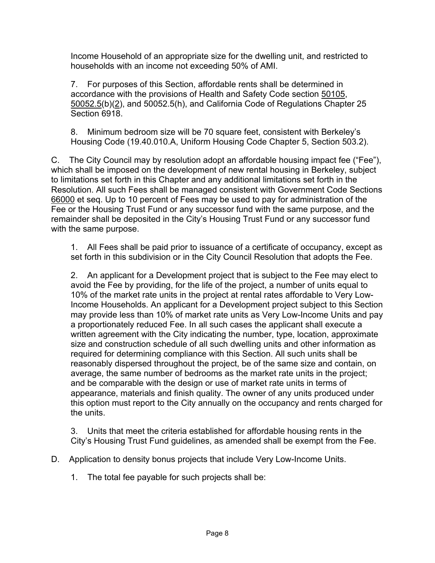Income Household of an appropriate size for the dwelling unit, and restricted to households with an income not exceeding 50% of AMI.

7. For purposes of this Section, affordable rents shall be determined in accordance with the provisions of Health and Safety Code section 50105, 50052.5(b)(2), and 50052.5(h), and California Code of Regulations Chapter 25 Section 6918.

8. Minimum bedroom size will be 70 square feet, consistent with Berkeley's Housing Code (19.40.010.A, Uniform Housing Code Chapter 5, Section 503.2).

C. The City Council may by resolution adopt an affordable housing impact fee ("Fee"), which shall be imposed on the development of new rental housing in Berkeley, subject to limitations set forth in this Chapter and any additional limitations set forth in the Resolution. All such Fees shall be managed consistent with Government Code Sections 66000 et seq. Up to 10 percent of Fees may be used to pay for administration of the Fee or the Housing Trust Fund or any successor fund with the same purpose, and the remainder shall be deposited in the City's Housing Trust Fund or any successor fund with the same purpose.

1. All Fees shall be paid prior to issuance of a certificate of occupancy, except as set forth in this subdivision or in the City Council Resolution that adopts the Fee.

2. An applicant for a Development project that is subject to the Fee may elect to avoid the Fee by providing, for the life of the project, a number of units equal to 10% of the market rate units in the project at rental rates affordable to Very Low-Income Households. An applicant for a Development project subject to this Section may provide less than 10% of market rate units as Very Low-Income Units and pay a proportionately reduced Fee. In all such cases the applicant shall execute a written agreement with the City indicating the number, type, location, approximate size and construction schedule of all such dwelling units and other information as required for determining compliance with this Section. All such units shall be reasonably dispersed throughout the project, be of the same size and contain, on average, the same number of bedrooms as the market rate units in the project; and be comparable with the design or use of market rate units in terms of appearance, materials and finish quality. The owner of any units produced under this option must report to the City annually on the occupancy and rents charged for the units.

3. Units that meet the criteria established for affordable housing rents in the City's Housing Trust Fund guidelines, as amended shall be exempt from the Fee.

- D. Application to density bonus projects that include Very Low-Income Units.
	- 1. The total fee payable for such projects shall be: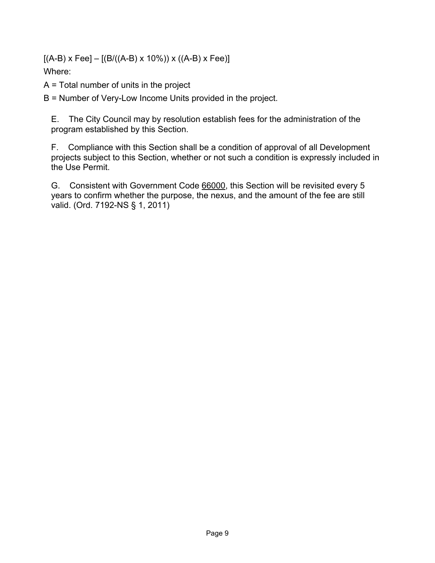$[(A-B) \times Fee] - [(B/((A-B) \times 10\%)) \times ((A-B) \times Fee)]$ Where:

A = Total number of units in the project

B = Number of Very-Low Income Units provided in the project.

E. The City Council may by resolution establish fees for the administration of the program established by this Section.

F. Compliance with this Section shall be a condition of approval of all Development projects subject to this Section, whether or not such a condition is expressly included in the Use Permit.

G. Consistent with Government Code 66000, this Section will be revisited every 5 years to confirm whether the purpose, the nexus, and the amount of the fee are still valid. (Ord. 7192-NS § 1, 2011)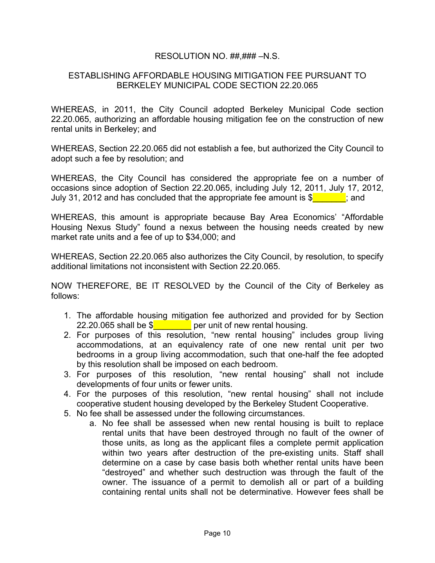### RESOLUTION NO. ##,### –N.S.

### ESTABLISHING AFFORDABLE HOUSING MITIGATION FEE PURSUANT TO BERKELEY MUNICIPAL CODE SECTION 22.20.065

WHEREAS, in 2011, the City Council adopted Berkeley Municipal Code section 22.20.065, authorizing an affordable housing mitigation fee on the construction of new rental units in Berkeley; and

WHEREAS, Section 22.20.065 did not establish a fee, but authorized the City Council to adopt such a fee by resolution; and

WHEREAS, the City Council has considered the appropriate fee on a number of occasions since adoption of Section 22.20.065, including July 12, 2011, July 17, 2012, July 31, 2012 and has concluded that the appropriate fee amount is  $\frac{1}{2}$  and

WHEREAS, this amount is appropriate because Bay Area Economics' "Affordable Housing Nexus Study" found a nexus between the housing needs created by new market rate units and a fee of up to \$34,000; and

WHEREAS, Section 22.20.065 also authorizes the City Council, by resolution, to specify additional limitations not inconsistent with Section 22.20.065.

NOW THEREFORE, BE IT RESOLVED by the Council of the City of Berkeley as follows:

- 1. The affordable housing mitigation fee authorized and provided for by Section 22.20.065 shall be  $\frac{1}{2}$  per unit of new rental housing.
- 2. For purposes of this resolution, "new rental housing" includes group living accommodations, at an equivalency rate of one new rental unit per two bedrooms in a group living accommodation, such that one-half the fee adopted by this resolution shall be imposed on each bedroom.
- 3. For purposes of this resolution, "new rental housing" shall not include developments of four units or fewer units.
- 4. For the purposes of this resolution, "new rental housing" shall not include cooperative student housing developed by the Berkeley Student Cooperative.
- 5. No fee shall be assessed under the following circumstances.
	- a. No fee shall be assessed when new rental housing is built to replace rental units that have been destroyed through no fault of the owner of those units, as long as the applicant files a complete permit application within two years after destruction of the pre-existing units. Staff shall determine on a case by case basis both whether rental units have been "destroyed" and whether such destruction was through the fault of the owner. The issuance of a permit to demolish all or part of a building containing rental units shall not be determinative. However fees shall be